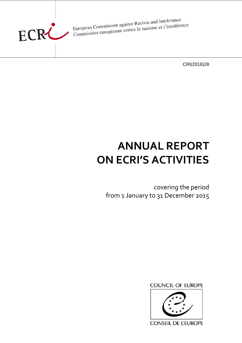

European Commission against Racism and Intolerance<br>European Commission against Racisme et l'intolérance European Commission against Racism and Intolerance<br>Commission européenne contre le racisme et l'intolérance

CRI(2016)28

# **ANNUAL REPORT ON ECRI'S ACTIVITIES**

covering the period from 1 January to 31 December 2015





**CONSEIL DE L'EUROPE**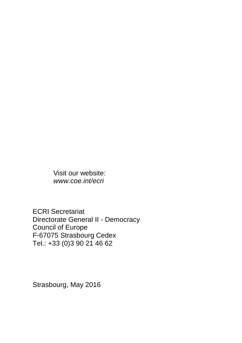Visit our website: *www.coe.int/ecri*

ECRI Secretariat Directorate General II - Democracy Council of Europe F-67075 Strasbourg Cedex Tel.: +33 (0)3 90 21 46 62

Strasbourg, May 2016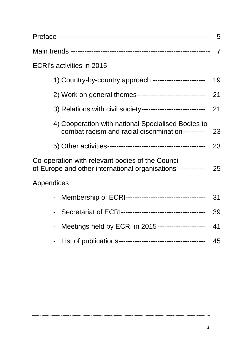|                                                                                                                  | 5              |
|------------------------------------------------------------------------------------------------------------------|----------------|
|                                                                                                                  | $\overline{7}$ |
| ECRI's activities in 2015                                                                                        |                |
| 1) Country-by-country approach ----------------------                                                            | 19             |
| 2) Work on general themes------------------------------                                                          | 21             |
| 3) Relations with civil society----------------------------                                                      | 21             |
| 4) Cooperation with national Specialised Bodies to<br>combat racism and racial discrimination----------          | 23             |
|                                                                                                                  | 23             |
| Co-operation with relevant bodies of the Council<br>of Europe and other international organisations ------------ | 25             |
| Appendices                                                                                                       |                |
|                                                                                                                  | 31             |
|                                                                                                                  | 39             |
| Meetings held by ECRI in 2015---------------------                                                               | 41             |
|                                                                                                                  | 45             |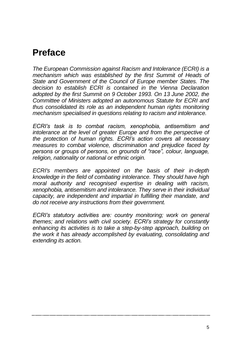## **Preface**

*The European Commission against Racism and Intolerance (ECRI) is a mechanism which was established by the first Summit of Heads of State and Government of the Council of Europe member States. The decision to establish ECRI is contained in the Vienna Declaration adopted by the first Summit on 9 October 1993. On 13 June 2002, the Committee of Ministers adopted an autonomous Statute for ECRI and thus consolidated its role as an independent human rights monitoring mechanism specialised in questions relating to racism and intolerance.*

*ECRI's task is to combat racism, xenophobia, antisemitism and intolerance at the level of greater Europe and from the perspective of the protection of human rights. ECRI's action covers all necessary measures to combat violence, discrimination and prejudice faced by persons or groups of persons, on grounds of "race", colour, language, religion, nationality or national or ethnic origin.*

*ECRI's members are appointed on the basis of their in-depth knowledge in the field of combating intolerance. They should have high moral authority and recognised expertise in dealing with racism, xenophobia, antisemitism and intolerance. They serve in their individual capacity, are independent and impartial in fulfilling their mandate, and do not receive any instructions from their government.*

*ECRI's statutory activities are: country monitoring; work on general themes; and relations with civil society. ECRI's strategy for constantly enhancing its activities is to take a step-by-step approach, building on the work it has already accomplished by evaluating, consolidating and extending its action.*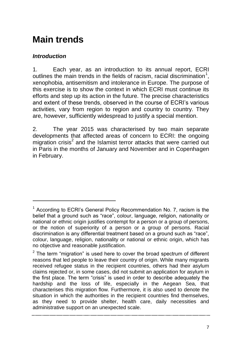## **Main trends**

## *Introduction*

 $\overline{a}$ 

1. Each year, as an introduction to its annual report, ECRI outlines the main trends in the fields of racism, racial discrimination<sup>1</sup>, xenophobia, antisemitism and intolerance in Europe. The purpose of this exercise is to show the context in which ECRI must continue its efforts and step up its action in the future. The precise characteristics and extent of these trends, observed in the course of ECRI's various activities, vary from region to region and country to country. They are, however, sufficiently widespread to justify a special mention.

2. The year 2015 was characterised by two main separate developments that affected areas of concern to ECRI: the ongoing migration crisis<sup>2</sup> and the Islamist terror attacks that were carried out in Paris in the months of January and November and in Copenhagen in February.

<sup>&</sup>lt;sup>1</sup> According to ECRI's General Policy Recommendation No. 7, racism is the belief that a ground such as "race", colour, language, religion, nationality or national or ethnic origin justifies contempt for a person or a group of persons, or the notion of superiority of a person or a group of persons. Racial discrimination is any differential treatment based on a ground such as "race", colour, language, religion, nationality or national or ethnic origin, which has no objective and reasonable justification.

 $2$  The term "migration" is used here to cover the broad spectrum of different reasons that led people to leave their country of origin. While many migrants received refugee status in the recipient countries, others had their asylum claims rejected or, in some cases, did not submit an application for asylum in the first place. The term "crisis" is used in order to describe adequately the hardship and the loss of life, especially in the Aegean Sea, that characterises this migration flow. Furthermore, it is also used to denote the situation in which the authorities in the recipient countries find themselves, as they need to provide shelter, health care, daily necessities and administrative support on an unexpected scale.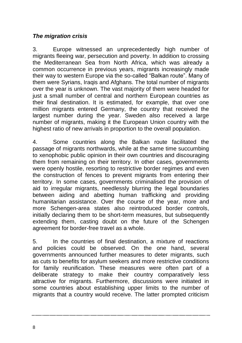### *The migration crisis*

3. Europe witnessed an unprecedentedly high number of migrants fleeing war, persecution and poverty. In addition to crossing the Mediterranean Sea from North Africa, which was already a common occurrence in previous years, migrants increasingly made their way to western Europe via the so-called "Balkan route". Many of them were Syrians, Iraqis and Afghans. The total number of migrants over the year is unknown. The vast majority of them were headed for just a small number of central and northern European countries as their final destination. It is estimated, for example, that over one million migrants entered Germany, the country that received the largest number during the year. Sweden also received a large number of migrants, making it the European Union country with the highest ratio of new arrivals in proportion to the overall population.

4. Some countries along the Balkan route facilitated the passage of migrants northwards, while at the same time succumbing to xenophobic public opinion in their own countries and discouraging them from remaining on their territory. In other cases, governments were openly hostile, resorting to restrictive border regimes and even the construction of fences to prevent migrants from entering their territory. In some cases, governments criminalised the provision of aid to irregular migrants, needlessly blurring the legal boundaries between aiding and abetting human trafficking and providing humanitarian assistance. Over the course of the year, more and more Schengen-area states also reintroduced border controls, initially declaring them to be short-term measures, but subsequently extending them, casting doubt on the future of the Schengen agreement for border-free travel as a whole.

5. In the countries of final destination, a mixture of reactions and policies could be observed. On the one hand, several governments announced further measures to deter migrants, such as cuts to benefits for asylum seekers and more restrictive conditions for family reunification. These measures were often part of a deliberate strategy to make their country comparatively less attractive for migrants. Furthermore, discussions were initiated in some countries about establishing upper limits to the number of migrants that a country would receive. The latter prompted criticism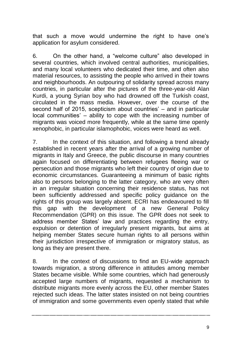that such a move would undermine the right to have one's application for asylum considered.

6. On the other hand, a "welcome culture" also developed in several countries, which involved central authorities, municipalities, and many local volunteers who dedicated their time, and often also material resources, to assisting the people who arrived in their towns and neighbourhoods. An outpouring of solidarity spread across many countries, in particular after the pictures of the three-year-old Alan Kurdi, a young Syrian boy who had drowned off the Turkish coast, circulated in the mass media. However, over the course of the second half of 2015, scepticism about countries' – and in particular local communities' – ability to cope with the increasing number of migrants was voiced more frequently, while at the same time openly xenophobic, in particular islamophobic, voices were heard as well.

7. In the context of this situation, and following a trend already established in recent years after the arrival of a growing number of migrants in Italy and Greece, the public discourse in many countries again focused on differentiating between refugees fleeing war or persecution and those migrants who left their country of origin due to economic circumstances. Guaranteeing a minimum of basic rights also to persons belonging to the latter category, who are very often in an irregular situation concerning their residence status, has not been sufficiently addressed and specific policy guidance on the rights of this group was largely absent. ECRI has endeavoured to fill this gap with the development of a new General Policy Recommendation (GPR) on this issue. The GPR does not seek to address member States' law and practices regarding the entry, expulsion or detention of irregularly present migrants, but aims at helping member States secure human rights to all persons within their jurisdiction irrespective of immigration or migratory status, as long as they are present there.

8. In the context of discussions to find an EU-wide approach towards migration, a strong difference in attitudes among member States became visible. While some countries, which had generously accepted large numbers of migrants, requested a mechanism to distribute migrants more evenly across the EU, other member States rejected such ideas. The latter states insisted on not being countries of immigration and some governments even openly stated that while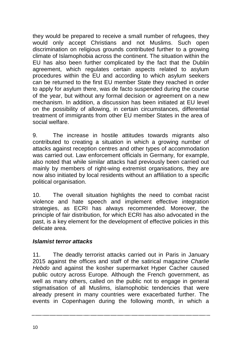they would be prepared to receive a small number of refugees, they would only accept Christians and not Muslims. Such open discrimination on religious grounds contributed further to a growing climate of Islamophobia across the continent. The situation within the EU has also been further complicated by the fact that the Dublin agreement, which regulates certain aspects related to asylum procedures within the EU and according to which asylum seekers can be returned to the first EU member State they reached in order to apply for asylum there, was de facto suspended during the course of the year, but without any formal decision or agreement on a new mechanism. In addition, a discussion has been initiated at EU level on the possibility of allowing, in certain circumstances, differential treatment of immigrants from other EU member States in the area of social welfare.

9. The increase in hostile attitudes towards migrants also  $control$  contributed to creating a situation in which a growing number of attacks against reception centres and other types of accommodation was carried out. Law enforcement officials in Germany, for example, also noted that while similar attacks had previously been carried out mainly by members of right-wing extremist organisations, they are now also initiated by local residents without an affiliation to a specific political organisation.

10. The overall situation highlights the need to combat racist violence and hate speech and implement effective integration strategies, as ECRI has always recommended. Moreover, the principle of fair distribution, for which ECRI has also advocated in the past, is a key element for the development of effective policies in this delicate area.

#### *Islamist terror attacks*

11. The deadly terrorist attacks carried out in Paris in January 2015 against the offices and staff of the satirical magazine *Charlie Hebdo* and against the kosher supermarket Hyper Cacher caused public outcry across Europe. Although the French government, as well as many others, called on the public not to engage in general stigmatisation of all Muslims, islamophobic tendencies that were already present in many countries were exacerbated further. The events in Copenhagen during the following month, in which a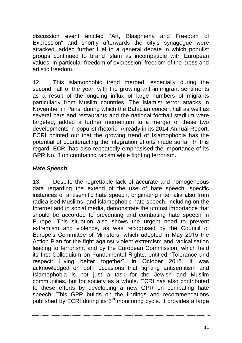discussion event entitled "Art, Blasphemy and Freedom of Expression" and shortly afterwards the city's synagogue were attacked, added further fuel to a general debate in which populist groups continued to brand Islam as incompatible with European values, in particular freedom of expression, freedom of the press and artistic freedom.

12. This islamophobic trend merged, especially during the second half of the year, with the growing anti-immigrant sentiments as a result of the ongoing influx of large numbers of migrants particularly from Muslim countries. The Islamist terror attacks in November in Paris, during which the Bataclan concert hall as well as several bars and restaurants and the national football stadium were targeted, added a further momentum to a merger of these two developments in populist rhetoric. Already in its 2014 Annual Report, ECRI pointed out that the growing trend of Islamophobia has the potential of counteracting the integration efforts made so far. In this regard, ECRI has also repeatedly emphasised the importance of its GPR No. 8 on combating racism while fighting terrorism.

#### *Hate Speech*

13. Despite the regrettable lack of accurate and homogeneous data regarding the extend of the use of hate speech, specific instances of antisemitic hate speech, originating inter alia also from radicalised Muslims, and islamophobic hate speech, including on the Internet and in social media, demonstrate the utmost importance that should be accorded to preventing and combating hate speech in Europe. This situation also shows the urgent need to prevent extremism and violence, as was recognised by the Council of Europe's Committee of Ministers, which adopted in May 2015 the Action Plan for the fight against violent extremism and radicalisation leading to terrorism, and by the European Commission, which held its first Colloquium on Fundamental Rights, entitled "Tolerance and respect: Living better together", in October 2015. It was acknowledged on both occasions that fighting antisemitism and Islamophobia is not just a task for the Jewish and Muslim communities, but for society as a whole. ECRI has also contributed to these efforts by developing a new GPR on combating hate speech. This GPR builds on the findings and recommendations published by ECRI during its  $5<sup>th</sup>$  monitoring cycle. It provides a large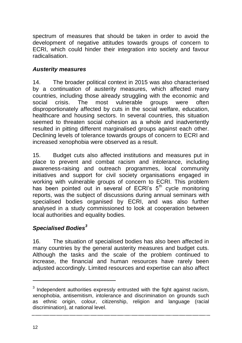spectrum of measures that should be taken in order to avoid the development of negative attitudes towards groups of concern to ECRI, which could hinder their integration into society and favour radicalisation.

#### *Austerity measures*

14. The broader political context in 2015 was also characterised by a continuation of austerity measures, which affected many countries, including those already struggling with the economic and<br>social crisis. The most vulnerable groups were often social crisis. The most vulnerable groups were often disproportionately affected by cuts in the social welfare, education, healthcare and housing sectors. In several countries, this situation seemed to threaten social cohesion as a whole and inadvertently resulted in pitting different marginalised groups against each other. Declining levels of tolerance towards groups of concern to ECRI and increased xenophobia were observed as a result.

15. Budget cuts also affected institutions and measures put in place to prevent and combat racism and intolerance, including awareness-raising and outreach programmes, local community initiatives and support for civil society organisations engaged in working with vulnerable groups of concern to ECRI. This problem has been pointed out in several of ECRI's 5<sup>th</sup> cycle monitoring reports, was the subject of discussions during annual seminars with specialised bodies organised by ECRI, and was also further analysed in a study commissioned to look at cooperation between local authorities and equality bodies.

## *Specialised Bodies<sup>3</sup>*

16. The situation of specialised bodies has also been affected in many countries by the general austerity measures and budget cuts. Although the tasks and the scale of the problem continued to increase, the financial and human resources have rarely been adjusted accordingly. Limited resources and expertise can also affect

12

 $\overline{a}$ 

 $3$  Independent authorities expressly entrusted with the fight against racism, xenophobia, antisemitism, intolerance and discrimination on grounds such as ethnic origin, colour, citizenship, religion and language (racial discrimination), at national level.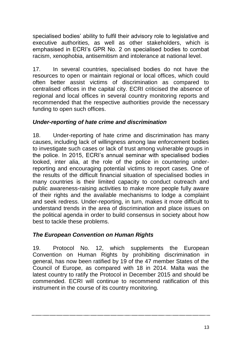specialised bodies' ability to fulfil their advisory role to legislative and executive authorities, as well as other stakeholders, which is emphasised in ECRI's GPR No. 2 on specialised bodies to combat racism, xenophobia, antisemitism and intolerance at national level.

17. In several countries, specialised bodies do not have the resources to open or maintain regional or local offices, which could often better assist victims of discrimination as compared to centralised offices in the capital city. ECRI criticised the absence of regional and local offices in several country monitoring reports and recommended that the respective authorities provide the necessary funding to open such offices.

#### *Under-reporting of hate crime and discrimination*

18. Under-reporting of hate crime and discrimination has many causes, including lack of willingness among law enforcement bodies to investigate such cases or lack of trust among vulnerable groups in the police. In 2015, ECRI's annual seminar with specialised bodies looked, inter alia, at the role of the police in countering underreporting and encouraging potential victims to report cases. One of the results of the difficult financial situation of specialised bodies in many countries is their limited capacity to conduct outreach and public awareness-raising activities to make more people fully aware of their rights and the available mechanisms to lodge a complaint and seek redress. Under-reporting, in turn, makes it more difficult to understand trends in the area of discrimination and place issues on the political agenda in order to build consensus in society about how best to tackle these problems.

#### *The European Convention on Human Rights*

19. Protocol No. 12, which supplements the European Convention on Human Rights by prohibiting discrimination in general, has now been ratified by 19 of the 47 member States of the Council of Europe, as compared with 18 in 2014. Malta was the latest country to ratify the Protocol in December 2015 and should be commended. ECRI will continue to recommend ratification of this instrument in the course of its country monitoring.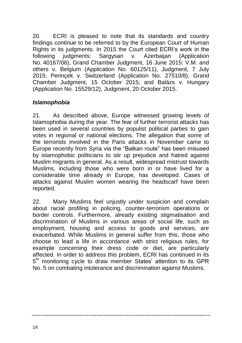20. ECRI is pleased to note that its standards and country findings continue to be referred to by the European Court of Human Rights in its judgments. In 2015 the Court cited ECRI's work in the following judgments: Sargysan v. Azerbaijan (Application No. 40167/06), Grand Chamber Judgment, 16 June 2015; V.M. and others v. Belgium (Application No. 60125/11), Judgment, 7 July 2015; Perinçek v. Switzerland (Application No. 27510/8), Grand Chamber Judgment, 15 October 2015; and Balázs v. Hungary (Application No. 15529/12), Judgment, 20 October 2015.

#### *Islamophobia*

21. As described above, Europe witnessed growing levels of Islamophobia during the year. The fear of further terrorist attacks has been used in several countries by populist political parties to gain votes in regional or national elections. The allegation that some of the terrorists involved in the Paris attacks in November came to Europe recently from Syria via the "Balkan route" has been misused by islamophobic politicians to stir up prejudice and hatred against Muslim migrants in general. As a result, widespread mistrust towards Muslims, including those who were born in or have lived for a considerable time already in Europe, has developed. Cases of attacks against Muslim women wearing the headscarf have been reported.

22. Many Muslims feel unjustly under suspicion and complain about racial profiling in policing, counter-terrorism operations or border controls. Furthermore, already existing stigmatisation and discrimination of Muslims in various areas of social life, such as employment, housing and access to goods and services, are exacerbated. While Muslims in general suffer from this, those who choose to lead a life in accordance with strict religious rules, for example concerning their dress code or diet, are particularly affected. In order to address this problem, ECRI has continued in its 5<sup>th</sup> monitoring cycle to draw member States' attention to its GPR No. 5 on combating intolerance and discrimination against Muslims.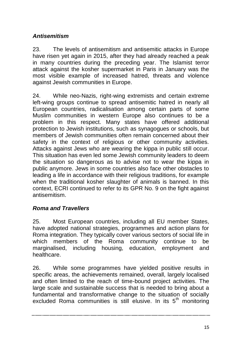## *Antisemitism*

23. The levels of antisemitism and antisemitic attacks in Europe have risen yet again in 2015, after they had already reached a peak in many countries during the preceding year. The Islamist terror attack against the kosher supermarket in Paris in January was the most visible example of increased hatred, threats and violence against Jewish communities in Europe.

24. While neo-Nazis, right-wing extremists and certain extreme left-wing groups continue to spread antisemitic hatred in nearly all European countries, radicalisation among certain parts of some Muslim communities in western Europe also continues to be a problem in this respect. Many states have offered additional protection to Jewish institutions, such as synagogues or schools, but members of Jewish communities often remain concerned about their safety in the context of religious or other community activities. Attacks against Jews who are wearing the kippa in public still occur. This situation has even led some Jewish community leaders to deem the situation so dangerous as to advise not to wear the kippa in public anymore. Jews in some countries also face other obstacles to leading a life in accordance with their religious traditions, for example when the traditional kosher slaughter of animals is banned. In this context, ECRI continued to refer to its GPR No. 9 on the fight against antisemitism.

### *Roma and Travellers*

25. Most European countries, including all EU member States, have adopted national strategies, programmes and action plans for Roma integration. They typically cover various sectors of social life in which members of the Roma community continue to be marginalised, including housing, education, employment and healthcare.

26. While some programmes have yielded positive results in specific areas, the achievements remained, overall, largely localised and often limited to the reach of time-bound project activities. The large scale and sustainable success that is needed to bring about a fundamental and transformative change to the situation of socially excluded Roma communities is still elusive. In its  $5<sup>th</sup>$  monitoring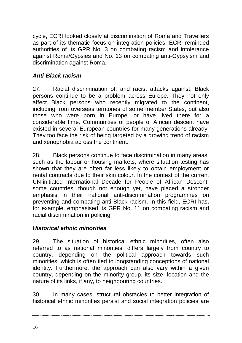cycle, ECRI looked closely at discrimination of Roma and Travellers as part of its thematic focus on integration policies. ECRI reminded authorities of its GPR No. 3 on combating racism and intolerance against Roma/Gypsies and No. 13 on combating anti-Gypsyism and discrimination against Roma.

### *Anti-Black racism*

27. Racial discrimination of, and racist attacks against, Black persons continue to be a problem across Europe. They not only affect Black persons who recently migrated to the continent, including from overseas territories of some member States, but also those who were born in Europe, or have lived there for a considerable time. Communities of people of African descent have existed in several European countries for many generations already. They too face the risk of being targeted by a growing trend of racism and xenophobia across the continent.

28. Black persons continue to face discrimination in many areas, such as the labour or housing markets, where situation testing has shown that they are often far less likely to obtain employment or rental contracts due to their skin colour. In the context of the current UN-initiated International Decade for People of African Descent, some countries, though not enough yet, have placed a stronger emphasis in their national anti-discrimination programmes on preventing and combating anti-Black racism. In this field, ECRI has, for example, emphasised its GPR No. 11 on combating racism and racial discrimination in policing.

## *Historical ethnic minorities*

29. The situation of historical ethnic minorities, often also referred to as national minorities, differs largely from country to country, depending on the political approach towards such minorities, which is often tied to longstanding conceptions of national identity. Furthermore, the approach can also vary within a given country, depending on the minority group, its size, location and the nature of its links, if any, to neighbouring countries.

30. In many cases, structural obstacles to better integration of historical ethnic minorities persist and social integration policies are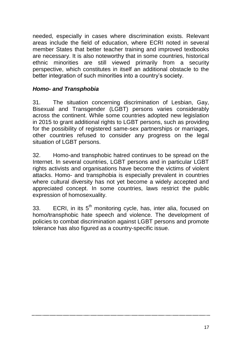needed, especially in cases where discrimination exists. Relevant areas include the field of education, where ECRI noted in several member States that better teacher training and improved textbooks are necessary. It is also noteworthy that in some countries, historical ethnic minorities are still viewed primarily from a security perspective, which constitutes in itself an additional obstacle to the better integration of such minorities into a country's society.

#### *Homo- and Transphobia*

31. The situation concerning discrimination of Lesbian, Gay, Bisexual and Transgender (LGBT) persons varies considerably across the continent. While some countries adopted new legislation in 2015 to grant additional rights to LGBT persons, such as providing for the possibility of registered same-sex partnerships or marriages, other countries refused to consider any progress on the legal situation of LGBT persons.

32. Homo-and transphobic hatred continues to be spread on the Internet. In several countries, LGBT persons and in particular LGBT rights activists and organisations have become the victims of violent attacks. Homo- and transphobia is especially prevalent in countries where cultural diversity has not yet become a widely accepted and appreciated concept. In some countries, laws restrict the public expression of homosexuality.

33. ECRI, in its  $5<sup>th</sup>$  monitoring cycle, has, inter alia, focused on homo/transphobic hate speech and violence. The development of policies to combat discrimination against LGBT persons and promote tolerance has also figured as a country-specific issue.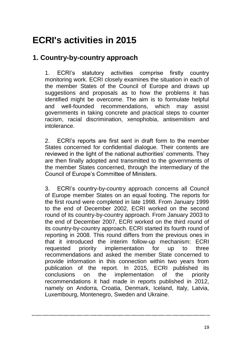## **ECRI's activities in 2015**

## **1. Country-by-country approach**

1. ECRI's statutory activities comprise firstly country monitoring work. ECRI closely examines the situation in each of the member States of the Council of Europe and draws up suggestions and proposals as to how the problems it has identified might be overcome. The aim is to formulate helpful and well-founded recommendations, which may assist governments in taking concrete and practical steps to counter racism, racial discrimination, xenophobia, antisemitism and intolerance.

2. ECRI's reports are first sent in draft form to the member States concerned for confidential dialogue. Their contents are reviewed in the light of the national authorities' comments. They are then finally adopted and transmitted to the governments of the member States concerned, through the intermediary of the Council of Europe's Committee of Ministers.

3. ECRI's country-by-country approach concerns all Council of Europe member States on an equal footing. The reports for the first round were completed in late 1998. From January 1999 to the end of December 2002, ECRI worked on the second round of its country-by-country approach. From January 2003 to the end of December 2007, ECRI worked on the third round of its country-by-country approach. ECRI started its fourth round of reporting in 2008. This round differs from the previous ones in that it introduced the interim follow-up mechanism: ECRI requested priority implementation for up to three recommendations and asked the member State concerned to provide information in this connection within two years from publication of the report. In 2015, ECRI published its conclusions on the implementation of the priority recommendations it had made in reports published in 2012, namely on Andorra, Croatia, Denmark, Iceland, Italy, Latvia, Luxembourg, Montenegro, Sweden and Ukraine.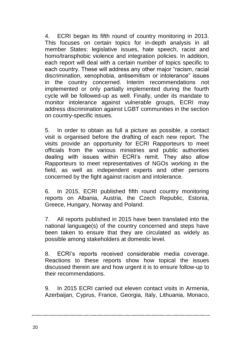4. ECRI began its fifth round of country monitoring in 2013. This focuses on certain topics for in-depth analysis in all member States: legislative issues, hate speech, racist and homo/transphobic violence and integration policies. In addition, each report will deal with a certain number of topics specific to each country. These will address any other major "racism, racial discrimination, xenophobia, antisemitism or intolerance" issues in the country concerned. Interim recommendations not implemented or only partially implemented during the fourth cycle will be followed-up as well. Finally, under its mandate to monitor intolerance against vulnerable groups, ECRI may address discrimination against LGBT communities in the section on country-specific issues.

5. In order to obtain as full a picture as possible, a contact visit is organised before the drafting of each new report. The visits provide an opportunity for ECRI Rapporteurs to meet officials from the various ministries and public authorities dealing with issues within ECRI's remit. They also allow Rapporteurs to meet representatives of NGOs working in the field, as well as independent experts and other persons concerned by the fight against racism and intolerance.

6. In 2015, ECRI published fifth round country monitoring reports on Albania, Austria, the Czech Republic, Estonia, Greece, Hungary, Norway and Poland.

7. All reports published in 2015 have been translated into the national language(s) of the country concerned and steps have been taken to ensure that they are circulated as widely as possible among stakeholders at domestic level.

8. ECRI's reports received considerable media coverage. Reactions to these reports show how topical the issues discussed therein are and how urgent it is to ensure follow-up to their recommendations.

9. In 2015 ECRI carried out eleven contact visits in Armenia, Azerbaijan, Cyprus, France, Georgia, Italy, Lithuania, Monaco,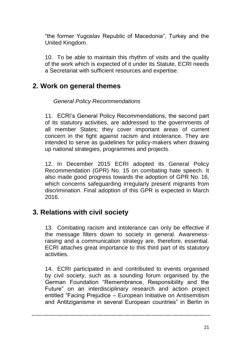"the former Yugoslav Republic of Macedonia", Turkey and the United Kingdom.

10. To be able to maintain this rhythm of visits and the quality of the work which is expected of it under its Statute, ECRI needs a Secretariat with sufficient resources and expertise.

## **2. Work on general themes**

*General Policy Recommendations*

11. ECRI's General Policy Recommendations, the second part of its statutory activities, are addressed to the governments of all member States; they cover important areas of current concern in the fight against racism and intolerance. They are intended to serve as guidelines for policy-makers when drawing up national strategies, programmes and projects.

12. In December 2015 ECRI adopted its General Policy Recommendation (GPR) No. 15 on combating hate speech. It also made good progress towards the adoption of GPR No. 16, which concerns safeguarding irregularly present migrants from discrimination. Final adoption of this GPR is expected in March 2016.

## **3. Relations with civil society**

13. Combating racism and intolerance can only be effective if the message filters down to society in general. Awarenessraising and a communication strategy are, therefore, essential. ECRI attaches great importance to this third part of its statutory activities.

14. ECRI participated in and contributed to events organised by civil society, such as a sounding forum organised by the German Foundation "Remembrance, Responsibility and the Future" on an interdisciplinary research and action project entitled "Facing Prejudice – European Initiative on Antisemitism and Antitziganisme in several European countries" in Berlin in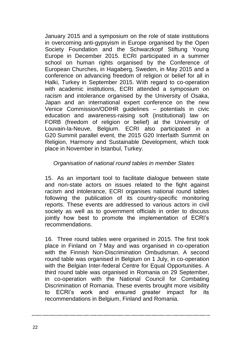January 2015 and a symposium on the role of state institutions in overcoming anti-gypsyism in Europe organised by the Open Society Foundation and the Schwarzkopf Stiftung Young Europe in December 2015. ECRI participated in a summer school on human rights organised by the Conference of European Churches, in Hagaberg, Sweden, in May 2015 and a conference on advancing freedom of religion or belief for all in Halki, Turkey in September 2015. With regard to co-operation with academic institutions, ECRI attended a symposium on racism and intolerance organised by the University of Osaka, Japan and an international expert conference on the new Venice Commission/ODIHR guidelines – potentials in civic education and awareness-raising soft (institutional) law on FORB (freedom of religion or belief) at the University of Louvain-la-Neuve, Belgium. ECRI also participated in a G20 Summit parallel event, the 2015 G20 Interfaith Summit on Religion, Harmony and Sustainable Development, which took place in November in Istanbul, Turkey.

#### *Organisation of national round tables in member States*

15. As an important tool to facilitate dialogue between state and non-state actors on issues related to the fight against racism and intolerance, ECRI organises national round tables following the publication of its country-specific monitoring reports. These events are addressed to various actors in civil society as well as to government officials in order to discuss jointly how best to promote the implementation of ECRI's recommendations.

16. Three round tables were organised in 2015. The first took place in Finland on 7 May and was organised in co-operation with the Finnish Non-Discrimination Ombudsman. A second round table was organised in Belgium on 1 July, in co-operation with the Belgian Inter-federal Centre for Equal Opportunities. A third round table was organised in Romania on 29 September, in co-operation with the National Council for Combating Discrimination of Romania. These events brought more visibility to ECRI's work and ensured greater impact for its recommendations in Belgium, Finland and Romania.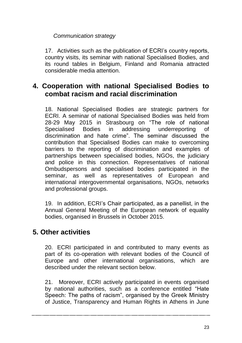### *Communication strategy*

17. Activities such as the publication of ECRI's country reports, country visits, its seminar with national Specialised Bodies, and its round tables in Belgium, Finland and Romania attracted considerable media attention.

## **4. Cooperation with national Specialised Bodies to combat racism and racial discrimination**

18. National Specialised Bodies are strategic partners for ECRI. A seminar of national Specialised Bodies was held from 28-29 May 2015 in Strasbourg on "The role of national Specialised Bodies in addressing underreporting of discrimination and hate crime". The seminar discussed the contribution that Specialised Bodies can make to overcoming barriers to the reporting of discrimination and examples of partnerships between specialised bodies, NGOs, the judiciary and police in this connection. Representatives of national Ombudspersons and specialised bodies participated in the seminar, as well as representatives of European and international intergovernmental organisations, NGOs, networks and professional groups.

19. In addition, ECRI's Chair participated, as a panellist, in the Annual General Meeting of the European network of equality bodies, organised in Brussels in October 2015.

## **5. Other activities**

20. ECRI participated in and contributed to many events as part of its co-operation with relevant bodies of the Council of Europe and other international organisations, which are described under the relevant section below.

21. Moreover, ECRI actively participated in events organised by national authorities, such as a conference entitled "Hate Speech: The paths of racism", organised by the Greek Ministry of Justice, Transparency and Human Rights in Athens in June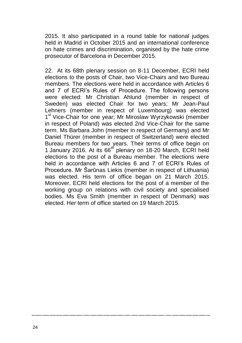2015. It also participated in a round table for national judges held in Madrid in October 2015 and an international conference on hate crimes and discrimination, organised by the hate crime prosecutor of Barcelona in December 2015.

22. At its 68th plenary session on 8-11 December, ECRI held elections to the posts of Chair, two Vice-Chairs and two Bureau members. The elections were held in accordance with Articles 6 and 7 of ECRI's Rules of Procedure. The following persons were elected: Mr Christian Ahlund (member in respect of Sweden) was elected Chair for two years; Mr Jean-Paul Lehners (member in respect of Luxembourg) was elected 1<sup>st</sup> Vice-Chair for one year; Mr Miroslaw Wyrzykowski (member in respect of Poland) was elected 2nd Vice-Chair for the same term. Ms Barbara John (member in respect of Germany) and Mr Daniel Thürer (member in respect of Switzerland) were elected Bureau members for two years. Their terms of office begin on 1 January 2016. At its 66<sup>th</sup> plenary on 18-20 March, ECRI held elections to the post of a Bureau member. The elections were held in accordance with Articles 6 and 7 of ECRI's Rules of Procedure. Mr Šarūnas Liekis (member in respect of Lithuania) was elected. His term of office began on 21 March 2015. Moreover, ECRI held elections for the post of a member of the working group on relations with civil society and specialised bodies. Ms Eva Smith (member in respect of Denmark) was elected. Her term of office started on 19 March 2015.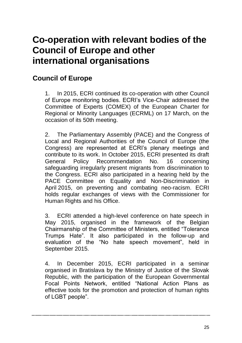## **Co-operation with relevant bodies of the Council of Europe and other international organisations**

## **Council of Europe**

1. In 2015, ECRI continued its co-operation with other Council of Europe monitoring bodies. ECRI's Vice-Chair addressed the Committee of Experts (COMEX) of the European Charter for Regional or Minority Languages (ECRML) on 17 March, on the occasion of its 50th meeting.

2. The Parliamentary Assembly (PACE) and the Congress of Local and Regional Authorities of the Council of Europe (the Congress) are represented at ECRI's plenary meetings and contribute to its work. In October 2015, ECRI presented its draft General Policy Recommendation No. 16 concerning safeguarding irregularly present migrants from discrimination to the Congress. ECRI also participated in a hearing held by the PACE Committee on Equality and Non-Discrimination in April 2015, on preventing and combating neo-racism. ECRI holds regular exchanges of views with the Commissioner for Human Rights and his Office.

3. ECRI attended a high-level conference on hate speech in May 2015, organised in the framework of the Belgian Chairmanship of the Committee of Ministers, entitled "Tolerance Trumps Hate". It also participated in the follow-up and evaluation of the "No hate speech movement", held in September 2015.

4. In December 2015, ECRI participated in a seminar organised in Bratislava by the Ministry of Justice of the Slovak Republic, with the participation of the European Governmental Focal Points Network, entitled "National Action Plans as effective tools for the promotion and protection of human rights of LGBT people".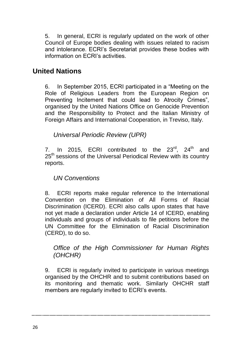5. In general, ECRI is regularly updated on the work of other Council of Europe bodies dealing with issues related to racism and intolerance. ECRI's Secretariat provides these bodies with information on ECRI's activities.

## **United Nations**

6. In September 2015, ECRI participated in a "Meeting on the Role of Religious Leaders from the European Region on Preventing Incitement that could lead to Atrocity Crimes". organised by the United Nations Office on Genocide Prevention and the Responsibility to Protect and the Italian Ministry of Foreign Affairs and International Cooperation, in Treviso, Italy.

*Universal Periodic Review (UPR)*

7. In 2015, ECRI contributed to the  $23^{\text{rd}}$ ,  $24^{\text{th}}$  and 25<sup>th</sup> sessions of the Universal Periodical Review with its country reports.

#### *UN Conventions*

8. ECRI reports make regular reference to the International Convention on the Elimination of All Forms of Racial Discrimination (ICERD). ECRI also calls upon states that have not yet made a declaration under Article 14 of ICERD, enabling individuals and groups of individuals to file petitions before the UN Committee for the Elimination of Racial Discrimination (CERD), to do so.

### *Office of the High Commissioner for Human Rights (OHCHR)*

9. ECRI is regularly invited to participate in various meetings organised by the OHCHR and to submit contributions based on its monitoring and thematic work. Similarly OHCHR staff members are regularly invited to ECRI's events.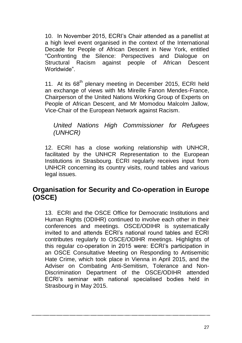10. In November 2015, ECRI's Chair attended as a panellist at a high level event organised in the context of the International Decade for People of African Descent in New York, entitled "Confronting the Silence: Perspectives and Dialogue on Structural Racism against people of African Descent Worldwide".

11. At its 68<sup>th</sup> plenary meeting in December 2015, ECRI held an exchange of views with Ms Mireille Fanon Mendes-France, Chairperson of the United Nations Working Group of Experts on People of African Descent, and Mr Momodou Malcolm Jallow, Vice-Chair of the European Network against Racism.

*United Nations High Commissioner for Refugees (UNHCR)*

12. ECRI has a close working relationship with UNHCR, facilitated by the UNHCR Representation to the European Institutions in Strasbourg. ECRI regularly receives input from UNHCR concerning its country visits, round tables and various legal issues.

## **Organisation for Security and Co-operation in Europe (OSCE)**

13. ECRI and the OSCE Office for Democratic Institutions and Human Rights (ODIHR) continued to involve each other in their conferences and meetings. OSCE/ODIHR is systematically invited to and attends ECRI's national round tables and ECRI contributes regularly to OSCE/ODIHR meetings. Highlights of this regular co-operation in 2015 were: ECRI's participation in an OSCE Consultative Meeting on Responding to Antisemitic Hate Crime, which took place in Vienna in April 2015, and the Adviser on Combating Anti-Semitism, Tolerance and Non-Discrimination Department of the OSCE/ODIHR attended ECRI's seminar with national specialised bodies held in Strasbourg in May 2015.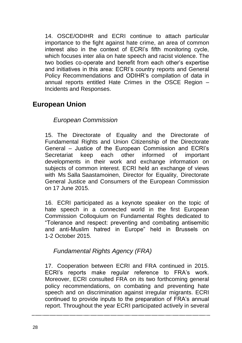14. OSCE/ODIHR and ECRI continue to attach particular importance to the fight against hate crime, an area of common interest also in the context of ECRI's fifth monitoring cycle, which focuses inter alia on hate speech and racist violence. The two bodies co-operate and benefit from each other's expertise and initiatives in this area: ECRI's country reports and General Policy Recommendations and ODIHR's compilation of data in annual reports entitled Hate Crimes in the OSCE Region – Incidents and Responses.

## **European Union**

## *European Commission*

15. The Directorate of Equality and the Directorate of Fundamental Rights and Union Citizenship of the Directorate General – Justice of the European Commission and ECRI's Secretariat keep each other informed of important developments in their work and exchange information on subjects of common interest. ECRI held an exchange of views with Ms Salla Saastamoinen, Director for Equality, Directorate General Justice and Consumers of the European Commission on 17 June 2015.

16. ECRI participated as a keynote speaker on the topic of hate speech in a connected world in the first European Commission Colloquium on Fundamental Rights dedicated to "Tolerance and respect: preventing and combating antisemitic and anti-Muslim hatred in Europe" held in Brussels on 1-2 October 2015.

## *Fundamental Rights Agency (FRA)*

17. Cooperation between ECRI and FRA continued in 2015. ECRI's reports make regular reference to FRA's work. Moreover, ECRI consulted FRA on its two forthcoming general policy recommendations, on combating and preventing hate speech and on discrimination against irregular migrants. ECRI continued to provide inputs to the preparation of FRA's annual report. Throughout the year ECRI participated actively in several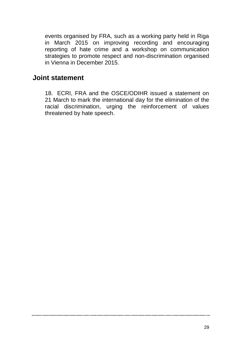events organised by FRA, such as a working party held in Riga in March 2015 on improving recording and encouraging reporting of hate crime and a workshop on communication strategies to promote respect and non-discrimination organised in Vienna in December 2015.

## **Joint statement**

18. ECRI, FRA and the OSCE/ODIHR issued a statement on 21 March to mark the international day for the elimination of the racial discrimination, urging the reinforcement of values threatened by hate speech.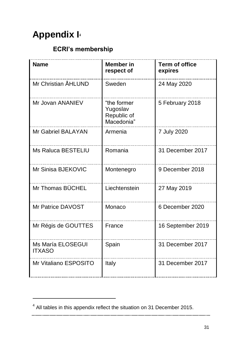## **Appendix I<sup>4</sup>**

 $\overline{a}$ 

## **ECRI's membership**

| <b>Name</b>                        | <b>Member</b> in<br>respect of                       | <b>Term of office</b><br>expires |
|------------------------------------|------------------------------------------------------|----------------------------------|
| Mr Christian ÅHLUND                | Sweden                                               | 24 May 2020                      |
| Mr Jovan ANANIEV                   | "the former<br>Yugoslav<br>Republic of<br>Macedonia" | 5 February 2018                  |
| Mr Gabriel BALAYAN                 | Armenia                                              | 7 July 2020                      |
| <b>Ms Raluca BESTELIU</b>          | Romania                                              | 31 December 2017                 |
| Mr Sinisa BJEKOVIC                 | Montenegro                                           | 9 December 2018                  |
| Mr Thomas BÜCHEL                   | Liechtenstein                                        | 27 May 2019                      |
| Mr Patrice DAVOST                  | Monaco                                               | 6 December 2020                  |
| Mr Régis de GOUTTES                | France                                               | 16 September 2019                |
| Ms María ELOSEGUI<br><b>ITXASO</b> | Spain                                                | 31 December 2017                 |
| Mr Vitaliano ESPOSITO              | Italy                                                | 31 December 2017                 |

 $<sup>4</sup>$  All tables in this appendix reflect the situation on 31 December 2015.</sup>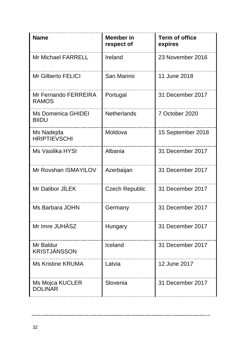| <b>Name</b>                          | <b>Member</b> in<br>respect of | <b>Term of office</b><br>expires |
|--------------------------------------|--------------------------------|----------------------------------|
| Mr Michael FARRELL                   | Ireland                        | 23 November 2016                 |
| Mr Gilberto FELICI                   | San Marino                     | 11 June 2018                     |
| Mr Fernando FERREIRA<br><b>RAMOS</b> | Portugal                       | 31 December 2017                 |
| <b>Ms Domenica GHIDEI</b><br>BIIDU   | Netherlands                    | 7 October 2020                   |
| Ms Nadejda<br><b>HRIPTIEVSCHI</b>    | Moldova                        | 15 September 2018                |
| Ms Vasilika HYSI                     | Albania                        | 31 December 2017                 |
| Mr Rovshan ISMAYILOV                 | Azerbaijan                     | 31 December 2017                 |
| Mr Dalibor JÍLEK                     | <b>Czech Republic</b>          | 31 December 2017                 |
| Ms Barbara JOHN                      | Germany                        | 31 December 2017                 |
| Mr Imre JUHÁSZ                       | Hungary                        | 31 December 2017                 |
| Mr Baldur<br><b>KRISTJÁNSSON</b>     | Iceland                        | 31 December 2017                 |
| Ms Kristine KRUMA                    | Latvia                         | 12 June 2017                     |
| Ms Mojca KUCLER<br><b>DOLINAR</b>    | Slovenia                       | 31 December 2017                 |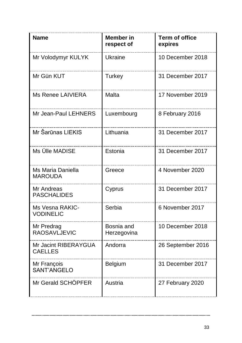| <b>Name</b>                            | <b>Member</b> in<br>respect of | <b>Term of office</b><br>expires |
|----------------------------------------|--------------------------------|----------------------------------|
| Mr Volodymyr KULYK                     | Ukraine                        | 10 December 2018                 |
| Mr Gün KUT                             | Turkey                         | 31 December 2017                 |
| Ms Renee LAIVIERA                      | Malta                          | 17 November 2019                 |
| Mr Jean-Paul LEHNERS                   | Luxembourg                     | 8 February 2016                  |
| Mr Šarūnas LIEKIS                      | Lithuania                      | 31 December 2017                 |
| Ms Ülle MADISE                         | Estonia                        | 31 December 2017                 |
| Ms Maria Daniella<br><b>MAROUDA</b>    | Greece                         | 4 November 2020                  |
| Mr Andreas<br><b>PASCHALIDES</b>       | Cyprus                         | 31 December 2017                 |
| Ms Vesna RAKIC-<br><b>VODINELIC</b>    | Serbia                         | 6 November 2017                  |
| Mr Predrag<br><b>RAOSAVLJEVIC</b>      | Bosnia and<br>Herzegovina      | 10 December 2018                 |
| Mr Jacint RIBERAYGUA<br><b>CAELLES</b> | Andorra                        | 26 September 2016                |
| Mr François<br>SANT'ANGELO             | Belgium                        | 31 December 2017                 |
| Mr Gerald SCHÖPFER                     | Austria                        | 27 February 2020                 |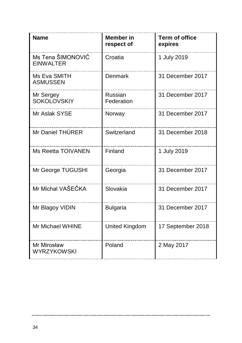| <b>Name</b>                            | <b>Member</b> in<br>respect of | <b>Term of office</b><br>expires |
|----------------------------------------|--------------------------------|----------------------------------|
| Ms Tena ŠIMONOVIĆ<br><b>FINWAI TFR</b> | Croatia                        | 1 July 2019                      |
| Ms Eva SMITH<br><b>ASMUSSEN</b>        | Denmark                        | 31 December 2017                 |
| Mr Sergey<br><b>SOKOLOVSKIY</b>        | Russian<br>Federation          | 31 December 2017                 |
| Mr Aslak SYSE                          | Norway                         | 31 December 2017                 |
| Mr Daniel THÜRER                       | Switzerland                    | 31 December 2018                 |
| Ms Reetta TOIVANEN                     | Finland                        | 1 July 2019                      |
| Mr George TUGUSHI                      | Georgia                        | 31 December 2017                 |
| Mr Michal VAŠEČKA                      | Slovakia                       | 31 December 2017                 |
| Mr Blagoy VIDIN                        | <b>Bulgaria</b>                | 31 December 2017                 |
| Mr Michael WHINE                       | United Kingdom                 | 17 September 2018                |
| Mr Mirosław<br><b>WYRZYKOWSKI</b>      | Poland                         | 2 May 2017                       |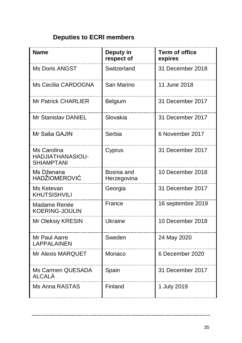## **Deputies to ECRI members**

| <b>Name</b>                                          | Deputy in<br>respect of   | <b>Term of office</b><br>expires |
|------------------------------------------------------|---------------------------|----------------------------------|
| <b>Ms Doris ANGST</b>                                | Switzerland               | 31 December 2018                 |
| Ms Cecilia CARDOGNA                                  | San Marino                | 11 June 2018                     |
| <b>Mr Patrick CHARLIER</b>                           | Belgium                   | 31 December 2017                 |
| Mr Stanislav DANIEL                                  | Slovakia                  | 31 December 2017                 |
| Mr Saša GAJIN                                        | Serbia                    | 6 November 2017                  |
| Ms Carolina<br>HADJIATHANASIOU-<br><b>SHIAMPTANI</b> | Cyprus                    | 31 December 2017                 |
| Ms Dženana<br><b>HADŽIOMEROVIĆ</b>                   | Bosnia and<br>Herzegovina | 10 December 2018                 |
| Ms Ketevan<br><b>KHUTSISHVILI</b>                    | Georgia                   | 31 December 2017                 |
| Madame Renée<br><b>KOERING-JOULIN</b>                | France                    | 16 septembre 2019                |
| Mr Oleksiy KRESIN                                    | Ukraine                   | 10 December 2018                 |
| Mr Paul Aarre<br><b>LAPPALAINEN</b>                  | Sweden                    | 24 May 2020                      |
| <b>Mr Alexis MARQUET</b>                             | Monaco                    | 6 December 2020                  |
| Ms Carmen QUESADA<br>ALCALÁ                          | Spain                     | 31 December 2017                 |
| Ms Anna RASTAS                                       | Finland                   | 1 July 2019                      |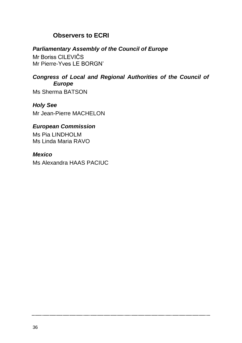## **Observers to ECRI**

#### *Parliamentary Assembly of the Council of Europe*

Mr Boriss CILEVIČS Mr Pierre-Yves LE BORGN'

## *Congress of Local and Regional Authorities of the Council of Europe*

Ms Sherma BATSON

*Holy See* Mr Jean-Pierre MACHELON

### *European Commission*

Ms Pia LINDHOLM Ms Linda Maria RAVO

#### *Mexico*

Ms Alexandra HAAS PACIUC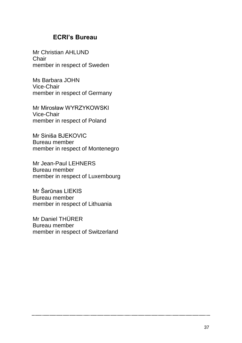### **ECRI's Bureau**

Mr Christian AHLUND Chair member in respect of Sweden

Ms Barbara JOHN Vice-Chair member in respect of Germany

Mr Mirosław WYRZYKOWSKI Vice-Chair member in respect of Poland

Mr Siniša BJEKOVIC Bureau member member in respect of Montenegro

Mr Jean-Paul LEHNERS Bureau member member in respect of Luxembourg

Mr Šarūnas LIEKIS Bureau member member in respect of Lithuania

Mr Daniel THÜRER Bureau member member in respect of Switzerland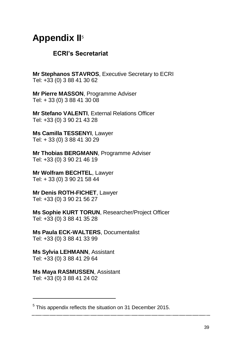## **Appendix II**<sup>5</sup>

### **ECRI's Secretariat**

**Mr Stephanos STAVROS**, Executive Secretary to ECRI Tel: +33 (0) 3 88 41 30 62

**Mr Pierre MASSON**, Programme Adviser Tel: + 33 (0) 3 88 41 30 08

**Mr Stefano VALENTI**, External Relations Officer Tel: +33 (0) 3 90 21 43 28

**Ms Camilla TESSENYI**, Lawyer Tel: + 33 (0) 3 88 41 30 29

**Mr Thobias BERGMANN**, Programme Adviser Tel: +33 (0) 3 90 21 46 19

**Mr Wolfram BECHTEL**, Lawyer Tel: + 33 (0) 3 90 21 58 44

**Mr Denis ROTH-FICHET**, Lawyer Tel: +33 (0) 3 90 21 56 27

**Ms Sophie KURT TORUN**, Researcher/Project Officer Tel: +33 (0) 3 88 41 35 28

**Ms Paula ECK-WALTERS**, Documentalist Tel: +33 (0) 3 88 41 33 99

**Ms Sylvia LEHMANN**, Assistant Tel: +33 (0) 3 88 41 29 64

**Ms Maya RASMUSSEN**, Assistant Tel: +33 (0) 3 88 41 24 02

 $\overline{a}$ 

<sup>&</sup>lt;sup>5</sup> This appendix reflects the situation on 31 December 2015.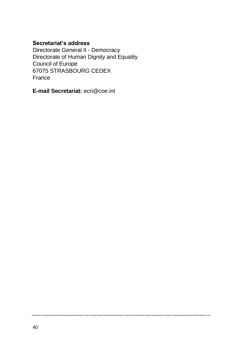### **Secretariat's address**

Directorate General II - Democracy Directorate of Human Dignity and Equality Council of Europe 67075 STRASBOURG CEDEX France

**E-mail Secretariat:** ecri@coe.int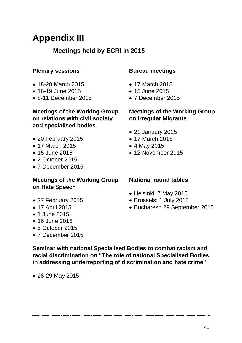## **Appendix III**

## **Meetings held by ECRI in 2015**

### **Plenary sessions**

- 18-20 March 2015
- 16-19 June 2015
- 8-11 December 2015

#### **Meetings of the Working Group on relations with civil society and specialised bodies**

- 20 February 2015
- 17 March 2015
- 15 June 2015
- 2 October 2015
- 7 December 2015

#### **Meetings of the Working Group on Hate Speech**

- 27 February 2015
- 17 April 2015
- 1 June 2015
- 16 June 2015
- 5 October 2015
- 7 December 2015

#### **Bureau meetings**

- 17 March 2015
- 15 June 2015
- 7 December 2015

#### **Meetings of the Working Group on Irregular Migrants**

- 21 January 2015
- 17 March 2015
- 4 May 2015
- 12 November 2015

#### **National round tables**

- Helsinki: 7 May 2015
- Brussels: 1 July 2015
- Bucharest: 29 September 2015

**Seminar with national Specialised Bodies to combat racism and racial discrimination on "The role of national Specialised Bodies in addressing underreporting of discrimination and hate crime"**

28-29 May 2015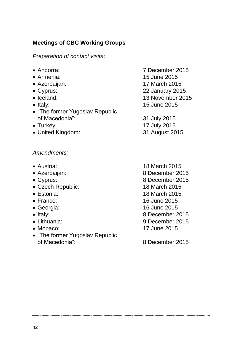### **Meetings of CBC Working Groups**

*Preparation of contact visits*:

- 
- 
- 
- 
- 
- 
- "The former Yugoslav Republic of Macedonia": 31 July 2015
- 
- United Kingdom: 31 August 2015

#### *Amendments:*

- 
- 
- 
- Czech Republic: 18 March 2015
- 
- 
- 
- 
- 
- 
- "The former Yugoslav Republic of Macedonia": 8 December 2015
- Andorra: 7 December 2015 Armenia: 15 June 2015 Azerbaijan: 17 March 2015 Cyprus: 22 January 2015 • Iceland: 13 November 2015 • Italy: 15 June 2015
- Turkey: 17 July 2015
- Austria: 18 March 2015 Azerbaijan: 8 December 2015 Cyprus: 8 December 2015 Estonia: 18 March 2015 France: 16 June 2015 Georgia: 16 June 2015 • Italy: 8 December 2015 Lithuania: 9 December 2015 Monaco: 17 June 2015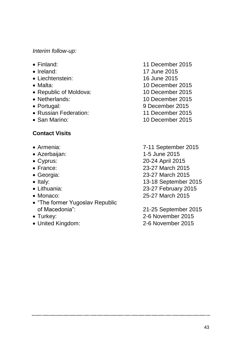#### *Interim follow-up:*

- 
- 
- Liechtenstein: 16 June 2015
- 
- Republic of Moldova: 10 December 2015
- 
- 
- Russian Federation: 11 December 2015
- San Marino: 10 December 2015

#### **Contact Visits**

- 
- 
- 
- 
- 
- 
- 
- 
- "The former Yugoslav Republic<br>of Macedonia":
- 
- 
- Finland: 11 December 2015 • Ireland: 17 June 2015 • Malta: 10 December 2015 Netherlands: 10 December 2015 Portugal: 9 December 2015
- Armenia: 7-11 September 2015 Azerbaijan: 1-5 June 2015
- Cyprus: 20-24 April 2015
- France: 23-27 March 2015
- Georgia: 23-27 March 2015
- Italy: 13-18 September 2015
- Lithuania: 23-27 February 2015
- Monaco: 25-27 March 2015
- 21-25 September 2015 Turkey: 2-6 November 2015 United Kingdom: 2-6 November 2015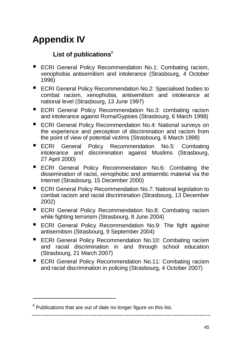## **Appendix IV**

## **List of publications**<sup>6</sup>

- **ECRI General Policy Recommendation No.1: Combating racism,** xenophobia antisemitism and intolerance (Strasbourg, 4 October 1996)
- ECRI General Policy Recommendation No.2: Specialised bodies to combat racism, xenophobia, antisemitism and intolerance at national level (Strasbourg, 13 June 1997)
- ECRI General Policy Recommendation No.3: combating racism and intolerance against Roma/Gypsies (Strasbourg, 6 March 1998)
- ECRI General Policy Recommendation No.4: National surveys on the experience and perception of discrimination and racism from the point of view of potential victims (Strasbourg, 6 March 1998)
- ECRI General Policy Recommendation No.5: Combating intolerance and discrimination against Muslims (Strasbourg, 27 April 2000)
- **ECRI General Policy Recommendation No.6: Combating the** dissemination of racist, xenophobic and antisemitic material via the Internet (Strasbourg, 15 December 2000)
- ECRI General Policy Recommendation No.7: National legislation to combat racism and racial discrimination (Strasbourg, 13 December 2002)
- **ECRI General Policy Recommendation No.8: Combating racism** while fighting terrorism (Strasbourg, 8 June 2004)
- ECRI General Policy Recommendation No.9: The fight against antisemitism (Strasbourg, 9 September 2004)
- ECRI General Policy Recommendation No.10: Combating racism and racial discrimination in and through school education (Strasbourg, 21 March 2007)
- ECRI General Policy Recommendation No.11: Combating racism and racial discrimination in policing (Strasbourg, 4 October 2007)

 $\overline{a}$ 

 $6$  Publications that are out of date no longer figure on this list.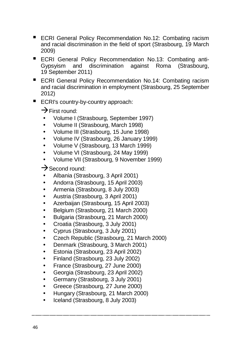- ECRI General Policy Recommendation No.12: Combating racism and racial discrimination in the field of sport (Strasbourg, 19 March 2009)
- ECRI General Policy Recommendation No.13: Combating anti-<br>Gypsyism and discrimination against Roma (Strasbourg, discrimination against Roma 19 September 2011)
- ECRI General Policy Recommendation No.14: Combating racism and racial discrimination in employment (Strasbourg, 25 September 2012)
- ECRI's country-by-country approach:

 $\rightarrow$  First round:

- Volume I (Strasbourg, September 1997)
- Volume II (Strasbourg, March 1998)
- Volume III (Strasbourg, 15 June 1998)
- Volume IV (Strasbourg, 26 January 1999)
- Volume V (Strasbourg, 13 March 1999)
- Volume VI (Strasbourg, 24 May 1999)
- Volume VII (Strasbourg, 9 November 1999)
- $\rightarrow$  Second round:
- Albania (Strasbourg, 3 April 2001)
- Andorra (Strasbourg, 15 April 2003)
- Armenia (Strasbourg, 8 July 2003)
- Austria (Strasbourg, 3 April 2001)
- Azerbaijan (Strasbourg, 15 April 2003)
- Belgium (Strasbourg, 21 March 2000)
- Bulgaria (Strasbourg, 21 March 2000)
- Croatia (Strasbourg, 3 July 2001)
- Cyprus (Strasbourg, 3 July 2001)
- Czech Republic (Strasbourg, 21 March 2000)
- Denmark (Strasbourg, 3 March 2001)
- Estonia (Strasbourg, 23 April 2002)
- Finland (Strasbourg, 23 July 2002)
- France (Strasbourg, 27 June 2000)
- Georgia (Strasbourg, 23 April 2002)
- Germany (Strasbourg, 3 July 2001)
- Greece (Strasbourg, 27 June 2000)
- Hungary (Strasbourg, 21 March 2000)
- Iceland (Strasbourg, 8 July 2003)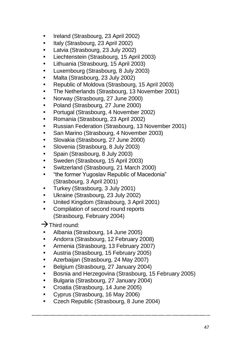- Ireland (Strasbourg, 23 April 2002)
- Italy (Strasbourg, 23 April 2002)
- Latvia (Strasbourg, 23 July 2002)
- Liechtenstein (Strasbourg, 15 April 2003)
- Lithuania (Strasbourg, 15 April 2003)
- Luxembourg (Strasbourg, 8 July 2003)
- Malta (Strasbourg, 23 July 2002)
- Republic of Moldova (Strasbourg, 15 April 2003)
- The Netherlands (Strasbourg, 13 November 2001)
- Norway (Strasbourg, 27 June 2000)
- Poland (Strasbourg, 27 June 2000)
- Portugal (Strasbourg, 4 November 2002)
- Romania (Strasbourg, 23 April 2002)
- Russian Federation (Strasbourg, 13 November 2001)
- San Marino (Strasbourg, 4 November 2003)
- Slovakia (Strasbourg, 27 June 2000)
- Slovenia (Strasbourg, 8 July 2003)
- Spain (Strasbourg, 8 July 2003)
- Sweden (Strasbourg, 15 April 2003)
- Switzerland (Strasbourg, 21 March 2000)
- "the former Yugoslav Republic of Macedonia" (Strasbourg, 3 April 2001)
- Turkey (Strasbourg, 3 July 2001)
- Ukraine (Strasbourg, 23 July 2002)
- United Kingdom (Strasbourg, 3 April 2001)
- Compilation of second round reports (Strasbourg, February 2004)

 $\rightarrow$  Third round:

- Albania (Strasbourg, 14 June 2005)
- Andorra (Strasbourg, 12 February 2008)
- Armenia (Strasbourg, 13 February 2007)
- Austria (Strasbourg, 15 February 2005)
- Azerbaijan (Strasbourg, 24 May 2007)
- Belgium (Strasbourg, 27 January 2004)
- Bosnia and Herzegovina (Strasbourg, 15 February 2005)
- Bulgaria (Strasbourg, 27 January 2004)
- Croatia (Strasbourg, 14 June 2005)
- Cyprus (Strasbourg, 16 May 2006)
- Czech Republic (Strasbourg, 8 June 2004)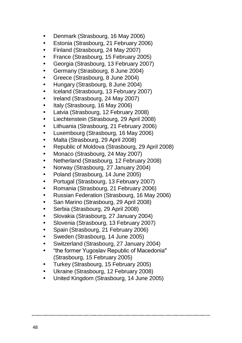- Denmark (Strasbourg, 16 May 2006)
- Estonia (Strasbourg, 21 February 2006)
- Finland (Strasbourg, 24 May 2007)
- France (Strasbourg, 15 February 2005)
- Georgia (Strasbourg, 13 February 2007)
- Germany (Strasbourg, 8 June 2004)
- Greece (Strasbourg, 8 June 2004)
- Hungary (Strasbourg, 8 June 2004)
- Iceland (Strasbourg, 13 February 2007)
- Ireland (Strasbourg, 24 May 2007)
- Italy (Strasbourg, 16 May 2006)
- Latvia (Strasbourg, 12 February 2008)
- Liechtenstein (Strasbourg, 29 April 2008)
- Lithuania (Strasbourg, 21 February 2006)
- Luxembourg (Strasbourg, 16 May 2006)
- Malta (Strasbourg, 29 April 2008)
- Republic of Moldova (Strasbourg, 29 April 2008)
- Monaco (Strasbourg, 24 May 2007)
- Netherland (Strasbourg, 12 February 2008)
- Norway (Strasbourg, 27 January 2004)
- Poland (Strasbourg, 14 June 2005)
- Portugal (Strasbourg, 13 February 2007)
- Romania (Strasbourg, 21 February 2006)
- Russian Federation (Strasbourg, 16 May 2006)
- San Marino (Strasbourg, 29 April 2008)
- Serbia (Strasbourg, 29 April 2008)
- Slovakia (Strasbourg, 27 January 2004)
- Slovenia (Strasbourg, 13 February 2007)
- Spain (Strasbourg, 21 February 2006)
- Sweden (Strasbourg, 14 June 2005)
- Switzerland (Strasbourg, 27 January 2004)
- "the former Yugoslav Republic of Macedonia" (Strasbourg, 15 February 2005)
- Turkey (Strasbourg, 15 February 2005)
- Ukraine (Strasbourg, 12 February 2008)
- United Kingdom (Strasbourg, 14 June 2005)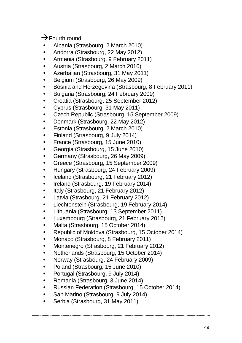$\rightarrow$  Fourth round:

- Albania (Strasbourg, 2 March 2010)
- Andorra (Strasbourg, 22 May 2012)
- Armenia (Strasbourg, 9 February 2011)
- Austria (Strasbourg, 2 March 2010)
- Azerbaijan (Strasbourg, 31 May 2011)
- Belgium (Strasbourg, 26 May 2009)
- Bosnia and Herzegovina (Strasbourg, 8 February 2011)
- Bulgaria (Strasbourg, 24 February 2009)
- Croatia (Strasbourg, 25 September 2012)
- Cyprus (Strasbourg, 31 May 2011)
- Czech Republic (Strasbourg, 15 September 2009)
- Denmark (Strasbourg, 22 May 2012)
- Estonia (Strasbourg, 2 March 2010)
- Finland (Strasbourg, 9 July 2014)
- France (Strasbourg, 15 June 2010)
- Georgia (Strasbourg, 15 June 2010)
- Germany (Strasbourg, 26 May 2009)
- Greece (Strasbourg, 15 September 2009)
- Hungary (Strasbourg, 24 February 2009)
- Iceland (Strasbourg, 21 February 2012)
- Ireland (Strasbourg, 19 February 2014)
- Italy (Strasbourg, 21 February 2012)
- Latvia (Strasbourg, 21 February 2012)
- Liechtenstein (Strasbourg, 19 February 2014)
- Lithuania (Strasbourg, 13 September 2011)
- Luxembourg (Strasbourg, 21 February 2012)
- Malta (Strasbourg, 15 October 2014)
- Republic of Moldova (Strasbourg, 15 October 2014)
- Monaco (Strasbourg, 8 February 2011)
- Montenegro (Strasbourg, 21 February 2012)
- Netherlands (Strasbourg, 15 October 2014)
- Norway (Strasbourg, 24 February 2009)
- Poland (Strasbourg, 15 June 2010)
- Portugal (Strasbourg, 9 July 2014)
- Romania (Strasbourg, 3 June 2014)
- Russian Federation (Strasbourg, 15 October 2014)
- San Marino (Strasbourg, 9 July 2014)
- Serbia (Strasbourg, 31 May 2011)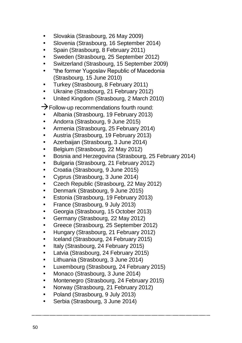- Slovakia (Strasbourg, 26 May 2009)
- Slovenia (Strasbourg, 16 September 2014)
- Spain (Strasbourg, 8 February 2011)
- Sweden (Strasbourg, 25 September 2012)
- Switzerland (Strasbourg, 15 September 2009)
- "the former Yugoslav Republic of Macedonia (Strasbourg, 15 June 2010)
- Turkey (Strasbourg, 8 February 2011)
- Ukraine (Strasbourg, 21 February 2012)
- United Kingdom (Strasbourg, 2 March 2010)

 $\rightarrow$  Follow-up recommendations fourth round:

- Albania (Strasbourg, 19 February 2013)
- Andorra (Strasbourg, 9 June 2015)
- Armenia (Strasbourg, 25 February 2014)
- Austria (Strasbourg, 19 February 2013)
- Azerbaijan (Strasbourg, 3 June 2014)
- Belgium (Strasbourg, 22 May 2012)
- Bosnia and Herzegovina (Strasbourg, 25 February 2014)
- Bulgaria (Strasbourg, 21 February 2012)
- Croatia (Strasbourg, 9 June 2015)
- Cyprus (Strasbourg, 3 June 2014)
- Czech Republic (Strasbourg, 22 May 2012)
- Denmark (Strasbourg, 9 June 2015)
- Estonia (Strasbourg, 19 February 2013)
- France (Strasbourg, 9 July 2013)
- Georgia (Strasbourg, 15 October 2013)
- Germany (Strasbourg, 22 May 2012)
- Greece (Strasbourg, 25 September 2012)
- Hungary (Strasbourg, 21 February 2012)
- Iceland (Strasbourg, 24 February 2015)
- Italy (Strasbourg, 24 February 2015)
- Latvia (Strasbourg, 24 February 2015)
- Lithuania (Strasbourg, 3 June 2014)
- Luxembourg (Strasbourg, 24 February 2015)
- Monaco (Strasbourg, 3 June 2014)
- Montenegro (Strasbourg, 24 February 2015)
- Norway (Strasbourg, 21 February 2012)
- Poland (Strasbourg, 9 July 2013)
- Serbia (Strasbourg, 3 June 2014)